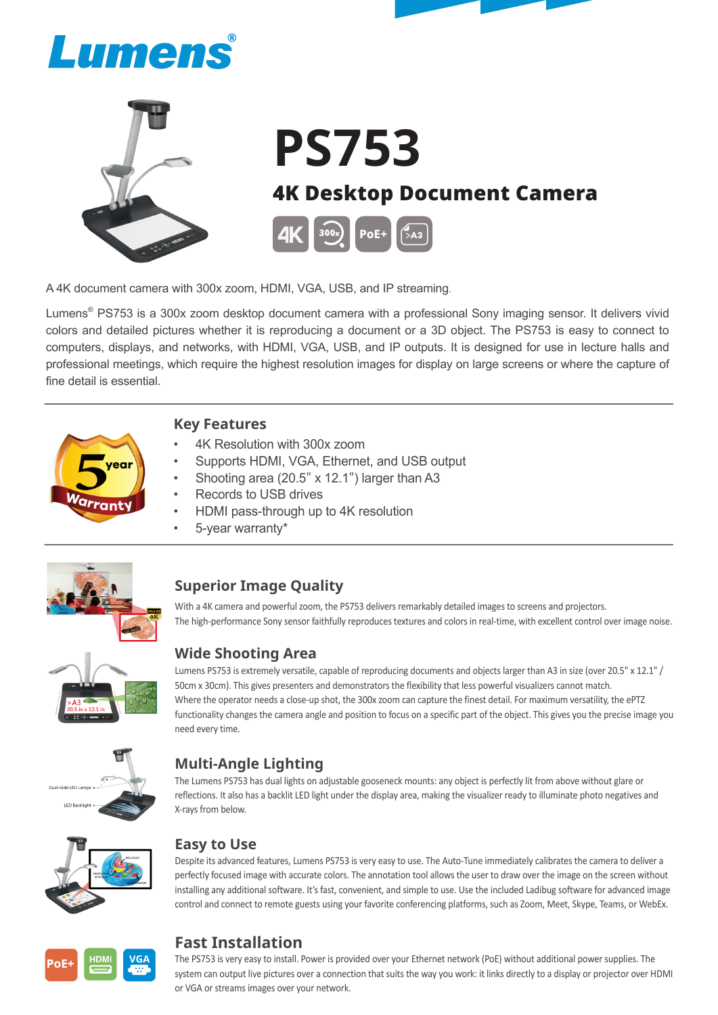



A 4K document camera with 300x zoom, HDMI, VGA, USB, and IP streaming.

Lumens<sup>®</sup> PS753 is a 300x zoom desktop document camera with a professional Sony imaging sensor. It delivers vivid colors and detailed pictures whether it is reproducing a document or a 3D object. The PS753 is easy to connect to computers, displays, and networks, with HDMI, VGA, USB, and IP outputs. It is designed for use in lecture halls and professional meetings, which require the highest resolution images for display on large screens or where the capture of fine detail is essential.



#### **Key Features**

- 4K Resolution with 300x zoom
- Supports HDMI, VGA, Ethernet, and USB output
- Shooting area (20.5" x 12.1") larger than A3
- Records to USB drives
- HDMI pass-through up to 4K resolution
- 5-year warranty\*



### **Superior Image Quality**

With a 4K camera and powerful zoom, the PS753 delivers remarkably detailed images to screens and projectors. The high-performance Sony sensor faithfully reproduces textures and colors in real-time, with excellent control over image noise.

### **Wide Shooting Area**

Lumens PS753 is extremely versatile, capable of reproducing documents and objects larger than A3 in size (over 20.5" x 12.1" / 50cm x 30cm). This gives presenters and demonstrators the flexibility that less powerful visualizers cannot match. Where the operator needs a close-up shot, the 300x zoom can capture the finest detail. For maximum versatility, the ePTZ functionality changes the camera angle and position to focus on a specific part of the object. This gives you the precise image you need every time.



## **Multi-Angle Lighting**

The Lumens PS753 has dual lights on adjustable gooseneck mounts: any object is perfectly lit from above without glare or reflections. It also has a backlit LED light under the display area, making the visualizer ready to illuminate photo negatives and X-rays from below.



#### **Easy to Use**

Despite its advanced features, Lumens PS753 is very easy to use. The Auto-Tune immediately calibrates the camera to deliver a perfectly focused image with accurate colors. The annotation tool allows the user to draw over the image on the screen without installing any additional software. It's fast, convenient, and simple to use. Use the included Ladibug software for advanced image control and connect to remote guests using your favorite conferencing platforms, such as Zoom, Meet, Skype, Teams, or WebEx.



## **Fast Installation**

The PS753 is very easy to install. Power is provided over your Ethernet network (PoE) without additional power supplies. The system can output live pictures over a connection that suits the way you work: it links directly to a display or projector over HDMI or VGA or streams images over your network.